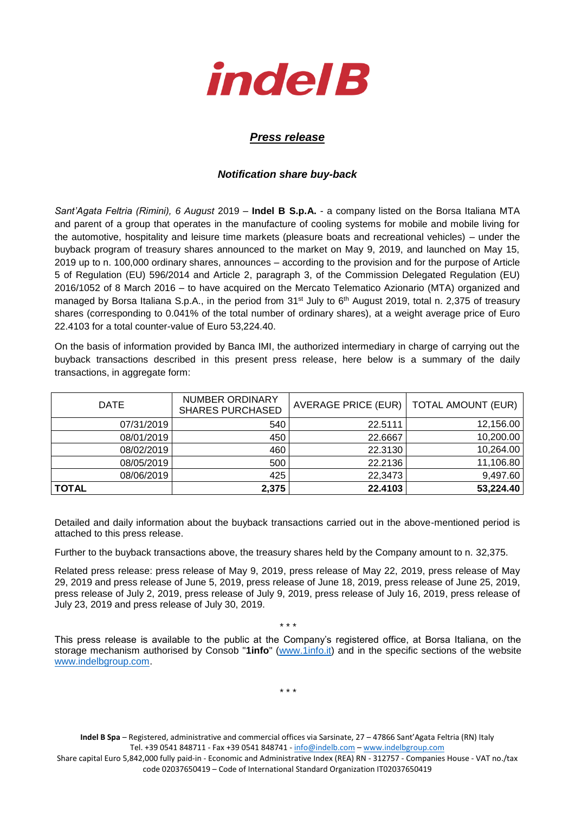

## *Press release*

## *Notification share buy-back*

*Sant'Agata Feltria (Rimini), 6 August* 2019 – **Indel B S.p.A.** - a company listed on the Borsa Italiana MTA and parent of a group that operates in the manufacture of cooling systems for mobile and mobile living for the automotive, hospitality and leisure time markets (pleasure boats and recreational vehicles) – under the buyback program of treasury shares announced to the market on May 9, 2019, and launched on May 15, 2019 up to n. 100,000 ordinary shares, announces – according to the provision and for the purpose of Article 5 of Regulation (EU) 596/2014 and Article 2, paragraph 3, of the Commission Delegated Regulation (EU) 2016/1052 of 8 March 2016 – to have acquired on the Mercato Telematico Azionario (MTA) organized and managed by Borsa Italiana S.p.A., in the period from 31<sup>st</sup> July to 6<sup>th</sup> August 2019, total n. 2,375 of treasury shares (corresponding to 0.041% of the total number of ordinary shares), at a weight average price of Euro 22.4103 for a total counter-value of Euro 53,224.40.

On the basis of information provided by Banca IMI, the authorized intermediary in charge of carrying out the buyback transactions described in this present press release, here below is a summary of the daily transactions, in aggregate form:

| <b>DATE</b> | <b>NUMBER ORDINARY</b><br><b>SHARES PURCHASED</b> | AVERAGE PRICE (EUR)   TOTAL AMOUNT (EUR) |           |
|-------------|---------------------------------------------------|------------------------------------------|-----------|
| 07/31/2019  | 540                                               | 22.5111                                  | 12,156.00 |
| 08/01/2019  | 450                                               | 22.6667                                  | 10,200.00 |
| 08/02/2019  | 460                                               | 22.3130                                  | 10,264.00 |
| 08/05/2019  | 500                                               | 22.2136                                  | 11,106.80 |
| 08/06/2019  | 425                                               | 22,3473                                  | 9,497.60  |
| TOTAL       | 2,375                                             | 22.4103                                  | 53,224.40 |

Detailed and daily information about the buyback transactions carried out in the above-mentioned period is attached to this press release.

Further to the buyback transactions above, the treasury shares held by the Company amount to n. 32,375.

Related press release: press release of May 9, 2019, press release of May 22, 2019, press release of May 29, 2019 and press release of June 5, 2019, press release of June 18, 2019, press release of June 25, 2019, press release of July 2, 2019, press release of July 9, 2019, press release of July 16, 2019, press release of July 23, 2019 and press release of July 30, 2019.

\* \* \*

This press release is available to the public at the Company's registered office, at Borsa Italiana, on the storage mechanism authorised by Consob "**1info**" [\(www.1info.it\)](file:///C:/Users/ddelietovollaro/AppData/Local/Microsoft/Windows/INetCache/Content.Outlook/T87B94UR/www.1info.it) and in the specific sections of the website [www.indelbgroup.com.](http://www.indelbgroup.com/)

\* \* \*

**Indel B Spa** – Registered, administrative and commercial offices via Sarsinate, 27 – 47866 Sant'Agata Feltria (RN) Italy Tel. +39 0541 848711 - Fax +39 0541 848741 - [info@indelb.com](mailto:info@indelb.com) – [www.indelbgroup.com](http://www.indelbgroup.com/)

Share capital Euro 5,842,000 fully paid-in - Economic and Administrative Index (REA) RN - 312757 - Companies House - VAT no./tax code 02037650419 – Code of International Standard Organization IT02037650419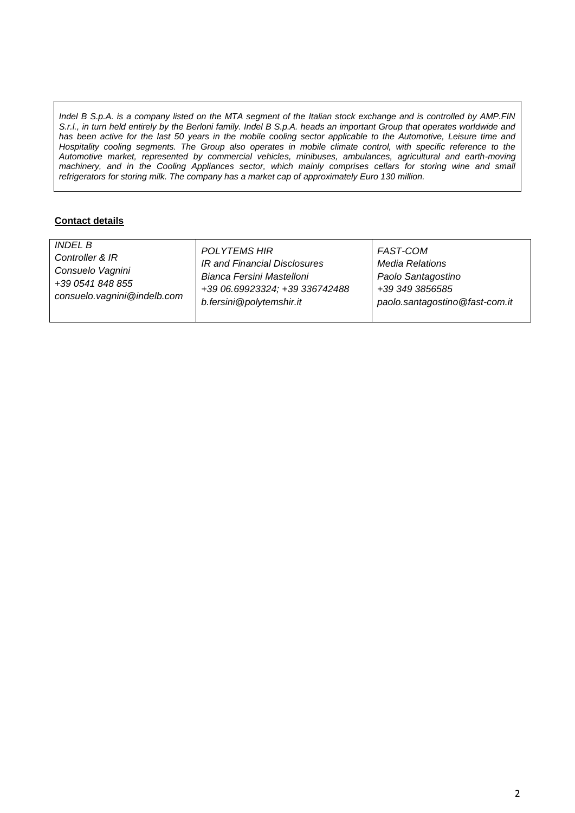*Indel B S.p.A. is a company listed on the MTA segment of the Italian stock exchange and is controlled by AMP.FIN S.r.l., in turn held entirely by the Berloni family. Indel B S.p.A. heads an important Group that operates worldwide and has been active for the last 50 years in the mobile cooling sector applicable to the Automotive, Leisure time and Hospitality cooling segments. The Group also operates in mobile climate control, with specific reference to the Automotive market, represented by commercial vehicles, minibuses, ambulances, agricultural and earth-moving machinery, and in the Cooling Appliances sector, which mainly comprises cellars for storing wine and small refrigerators for storing milk. The company has a market cap of approximately Euro 130 million.*

## **Contact details**

| <b>INDEL B</b>              | <b>POLYTEMS HIR</b>            | FAST-COM                       |
|-----------------------------|--------------------------------|--------------------------------|
| Controller & IR             | IR and Financial Disclosures   | <b>Media Relations</b>         |
| Consuelo Vagnini            | Bianca Fersini Mastelloni      | Paolo Santagostino             |
| +39 0541 848 855            | +39 06.69923324; +39 336742488 | +39 349 3856585                |
| consuelo.vagnini@indelb.com | b.fersini@polytemshir.it       | paolo.santagostino@fast-com.it |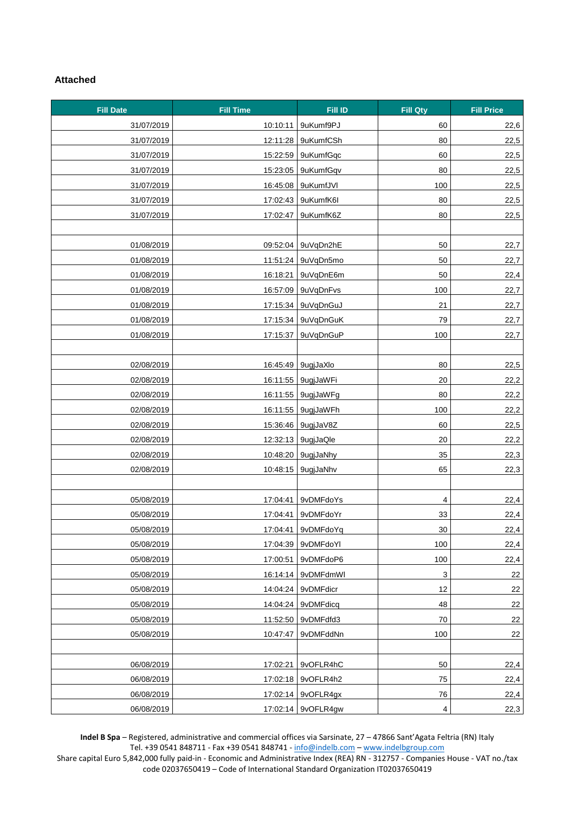## **Attached**

| <b>Fill Date</b> | <b>Fill Time</b> | Fill ID              | <b>Fill Qty</b> | <b>Fill Price</b> |
|------------------|------------------|----------------------|-----------------|-------------------|
| 31/07/2019       | 10:10:11         | 9uKumf9PJ            | 60              | 22,6              |
| 31/07/2019       | 12:11:28         | 9uKumfCSh            | 80              | 22,5              |
| 31/07/2019       | 15:22:59         | 9uKumfGqc            | 60              | 22,5              |
| 31/07/2019       | 15:23:05         | 9uKumfGqv            | 80              | 22,5              |
| 31/07/2019       |                  | 16:45:08 9uKumfJVI   | 100             | 22,5              |
| 31/07/2019       | 17:02:43         | 9uKumfK6I            | 80              | 22,5              |
| 31/07/2019       | 17:02:47         | 9uKumfK6Z            | 80              | 22,5              |
|                  |                  |                      |                 |                   |
| 01/08/2019       |                  | 09:52:04   9uVqDn2hE | 50              | 22,7              |
| 01/08/2019       |                  | 11:51:24 9uVqDn5mo   | 50              | 22,7              |
| 01/08/2019       | 16:18:21         | 9uVqDnE6m            | 50              | 22,4              |
| 01/08/2019       | 16:57:09         | 9uVqDnFvs            | 100             | 22,7              |
| 01/08/2019       | 17:15:34         | 9uVqDnGuJ            | 21              | 22,7              |
| 01/08/2019       | 17:15:34         | 9uVqDnGuK            | 79              | 22,7              |
| 01/08/2019       | 17:15:37         | 9uVqDnGuP            | 100             | 22,7              |
|                  |                  |                      |                 |                   |
| 02/08/2019       |                  | 16:45:49 9ugjJaXlo   | 80              | 22,5              |
| 02/08/2019       | 16:11:55         | 9ugjJaWFi            | 20              | 22,2              |
| 02/08/2019       |                  | 16:11:55 9ugjJaWFg   | 80              | 22,2              |
| 02/08/2019       | 16:11:55         | 9ugjJaWFh            | 100             | 22,2              |
| 02/08/2019       |                  | 15:36:46 9ugjJaV8Z   | 60              | 22,5              |
| 02/08/2019       |                  | 12:32:13 9ugjJaQle   | 20              | 22,2              |
| 02/08/2019       |                  | 10:48:20 9ugjJaNhy   | 35              | 22,3              |
| 02/08/2019       | 10:48:15         | 9ugjJaNhv            | 65              | 22,3              |
|                  |                  |                      |                 |                   |
| 05/08/2019       | 17:04:41         | 9vDMFdoYs            | 4               | 22,4              |
| 05/08/2019       |                  | 17:04:41   9vDMFdoYr | 33              | 22,4              |
| 05/08/2019       |                  | 17:04:41   9vDMFdoYq | 30              | 22,4              |
| 05/08/2019       | 17:04:39         | 9vDMFdoYl            | 100             | 22,4              |
| 05/08/2019       | 17:00:51         | 9vDMFdoP6            | 100             | 22,4              |
| 05/08/2019       | 16:14:14         | 9vDMFdmWl            | 3               | 22                |
| 05/08/2019       | 14:04:24         | 9vDMFdicr            | 12              | 22                |
| 05/08/2019       | 14:04:24         | 9vDMFdicq            | 48              | 22                |
| 05/08/2019       |                  | 11:52:50 9vDMFdfd3   | 70              | 22                |
| 05/08/2019       | 10:47:47         | 9vDMFddNn            | 100             | 22                |
|                  |                  |                      |                 |                   |
| 06/08/2019       | 17:02:21         | 9vOFLR4hC            | 50              | 22,4              |
| 06/08/2019       |                  | 17:02:18 9vOFLR4h2   | 75              | 22,4              |
| 06/08/2019       |                  | 17:02:14   9vOFLR4gx | 76              | 22,4              |
| 06/08/2019       |                  | 17:02:14   9vOFLR4gw | 4               | 22,3              |

**Indel B Spa** – Registered, administrative and commercial offices via Sarsinate, 27 – 47866 Sant'Agata Feltria (RN) Italy Tel. +39 0541 848711 - Fax +39 0541 848741 - [info@indelb.com](mailto:info@indelb.com) – [www.indelbgroup.com](http://www.indelbgroup.com/)

Share capital Euro 5,842,000 fully paid-in - Economic and Administrative Index (REA) RN - 312757 - Companies House - VAT no./tax code 02037650419 – Code of International Standard Organization IT02037650419